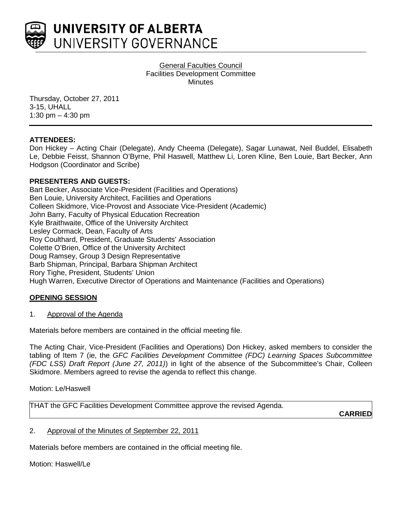

General Faculties Council Facilities Development Committee **Minutes** 

Thursday, October 27, 2011 3-15, UHALL 1:30 pm – 4:30 pm

## **ATTENDEES:**

Don Hickey – Acting Chair (Delegate), Andy Cheema (Delegate), Sagar Lunawat, Neil Buddel, Elisabeth Le, Debbie Feisst, Shannon O'Byrne, Phil Haswell, Matthew Li, Loren Kline, Ben Louie, Bart Becker, Ann Hodgson (Coordinator and Scribe)

## **PRESENTERS AND GUESTS:**

Bart Becker, Associate Vice-President (Facilities and Operations) Ben Louie, University Architect, Facilities and Operations Colleen Skidmore, Vice-Provost and Associate Vice-President (Academic) John Barry, Faculty of Physical Education Recreation Kyle Braithwaite, Office of the University Architect Lesley Cormack, Dean, Faculty of Arts Roy Coulthard, President, Graduate Students' Association Colette O'Brien, Office of the University Architect Doug Ramsey, Group 3 Design Representative Barb Shipman, Principal, Barbara Shipman Architect Rory Tighe, President, Students' Union Hugh Warren, Executive Director of Operations and Maintenance (Facilities and Operations)

# **OPENING SESSION**

#### 1. Approval of the Agenda

Materials before members are contained in the official meeting file.

The Acting Chair, Vice-President (Facilities and Operations) Don Hickey, asked members to consider the tabling of Item 7 (ie, the *GFC Facilities Development Committee (FDC) Learning Spaces Subcommittee (FDC LSS) Draft Report (June 27, 2011)*) in light of the absence of the Subcommittee's Chair, Colleen Skidmore. Members agreed to revise the agenda to reflect this change.

Motion: Le/Haswell

THAT the GFC Facilities Development Committee approve the revised Agenda.

**CARRIED**

#### 2. Approval of the Minutes of September 22, 2011

Materials before members are contained in the official meeting file.

Motion: Haswell/Le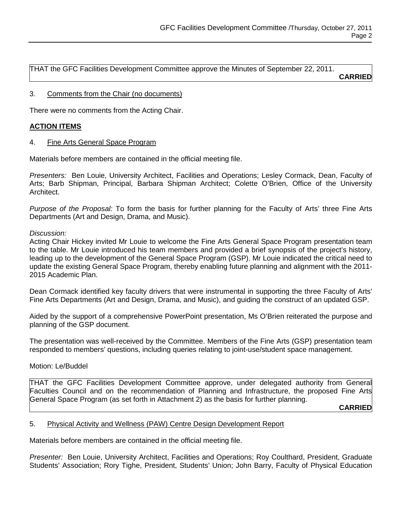THAT the GFC Facilities Development Committee approve the Minutes of September 22, 2011.

### **CARRIED**

## 3. Comments from the Chair (no documents)

There were no comments from the Acting Chair.

# **ACTION ITEMS**

4. Fine Arts General Space Program

Materials before members are contained in the official meeting file.

*Presenters:* Ben Louie, University Architect, Facilities and Operations; Lesley Cormack, Dean, Faculty of Arts; Barb Shipman, Principal, Barbara Shipman Architect; Colette O'Brien, Office of the University Architect.

*Purpose of the Proposal:* To form the basis for further planning for the Faculty of Arts' three Fine Arts Departments (Art and Design, Drama, and Music).

#### *Discussion:*

Acting Chair Hickey invited Mr Louie to welcome the Fine Arts General Space Program presentation team to the table. Mr Louie introduced his team members and provided a brief synopsis of the project's history, leading up to the development of the General Space Program (GSP). Mr Louie indicated the critical need to update the existing General Space Program, thereby enabling future planning and alignment with the 2011- 2015 Academic Plan.

Dean Cormack identified key faculty drivers that were instrumental in supporting the three Faculty of Arts' Fine Arts Departments (Art and Design, Drama, and Music), and guiding the construct of an updated GSP.

Aided by the support of a comprehensive PowerPoint presentation, Ms O'Brien reiterated the purpose and planning of the GSP document.

The presentation was well-received by the Committee. Members of the Fine Arts (GSP) presentation team responded to members' questions, including queries relating to joint-use/student space management.

## Motion: Le/Buddel

THAT the GFC Facilities Development Committee approve, under delegated authority from General Faculties Council and on the recommendation of Planning and Infrastructure, the proposed Fine Arts General Space Program (as set forth in Attachment 2) as the basis for further planning.

**CARRIED**

## 5. Physical Activity and Wellness (PAW) Centre Design Development Report

Materials before members are contained in the official meeting file.

*Presenter:* Ben Louie, University Architect, Facilities and Operations; Roy Coulthard, President, Graduate Students' Association; Rory Tighe, President, Students' Union; John Barry, Faculty of Physical Education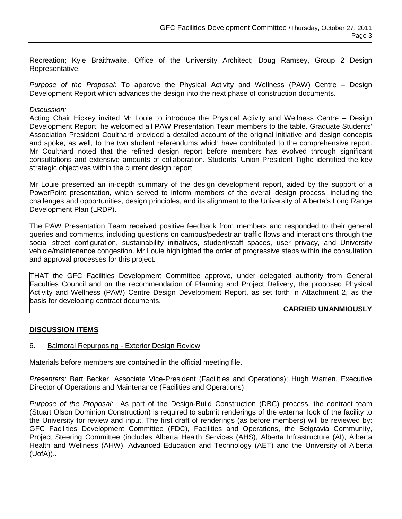Recreation; Kyle Braithwaite, Office of the University Architect; Doug Ramsey, Group 2 Design Representative.

*Purpose of the Proposal:* To approve the Physical Activity and Wellness (PAW) Centre – Design Development Report which advances the design into the next phase of construction documents.

#### *Discussion:*

Acting Chair Hickey invited Mr Louie to introduce the Physical Activity and Wellness Centre – Design Development Report; he welcomed all PAW Presentation Team members to the table. Graduate Students' Association President Coulthard provided a detailed account of the original initiative and design concepts and spoke, as well, to the two student referendums which have contributed to the comprehensive report. Mr Coulthard noted that the refined design report before members has evolved through significant consultations and extensive amounts of collaboration. Students' Union President Tighe identified the key strategic objectives within the current design report.

Mr Louie presented an in-depth summary of the design development report, aided by the support of a PowerPoint presentation, which served to inform members of the overall design process, including the challenges and opportunities, design principles, and its alignment to the University of Alberta's Long Range Development Plan (LRDP).

The PAW Presentation Team received positive feedback from members and responded to their general queries and comments, including questions on campus/pedestrian traffic flows and interactions through the social street configuration, sustainability initiatives, student/staff spaces, user privacy, and University vehicle/maintenance congestion. Mr Louie highlighted the order of progressive steps within the consultation and approval processes for this project.

THAT the GFC Facilities Development Committee approve, under delegated authority from General Faculties Council and on the recommendation of Planning and Project Delivery, the proposed Physical Activity and Wellness (PAW) Centre Design Development Report, as set forth in Attachment 2, as the basis for developing contract documents.

#### **CARRIED UNANMIOUSLY**

## **DISCUSSION ITEMS**

#### 6. Balmoral Repurposing - Exterior Design Review

Materials before members are contained in the official meeting file.

*Presenters:* Bart Becker, Associate Vice-President (Facilities and Operations); Hugh Warren, Executive Director of Operations and Maintenance (Facilities and Operations)

*Purpose of the Proposal:* As part of the Design-Build Construction (DBC) process, the contract team (Stuart Olson Dominion Construction) is required to submit renderings of the external look of the facility to the University for review and input. The first draft of renderings (as before members) will be reviewed by: GFC Facilities Development Committee (FDC), Facilities and Operations, the Belgravia Community, Project Steering Committee (includes Alberta Health Services (AHS), Alberta Infrastructure (AI), Alberta Health and Wellness (AHW), Advanced Education and Technology (AET) and the University of Alberta (UofA))..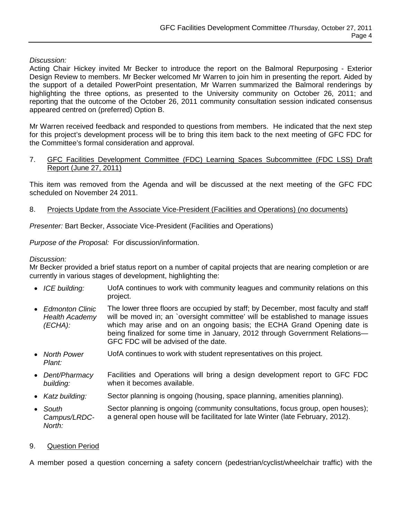# *Discussion:*

Acting Chair Hickey invited Mr Becker to introduce the report on the Balmoral Repurposing - Exterior Design Review to members. Mr Becker welcomed Mr Warren to join him in presenting the report. Aided by the support of a detailed PowerPoint presentation, Mr Warren summarized the Balmoral renderings by highlighting the three options, as presented to the University community on October 26, 2011; and reporting that the outcome of the October 26, 2011 community consultation session indicated consensus appeared centred on (preferred) Option B.

Mr Warren received feedback and responded to questions from members. He indicated that the next step for this project's development process will be to bring this item back to the next meeting of GFC FDC for the Committee's formal consideration and approval.

7. GFC Facilities Development Committee (FDC) Learning Spaces Subcommittee (FDC LSS) Draft Report (June 27, 2011)

This item was removed from the Agenda and will be discussed at the next meeting of the GFC FDC scheduled on November 24 2011.

8. Projects Update from the Associate Vice-President (Facilities and Operations) (no documents)

*Presenter:* Bart Becker, Associate Vice-President (Facilities and Operations)

*Purpose of the Proposal:* For discussion/information.

### *Discussion:*

Mr Becker provided a brief status report on a number of capital projects that are nearing completion or are currently in various stages of development, highlighting the:

- *ICE building:* UofA continues to work with community leagues and community relations on this project.
- *Edmonton Clinic Health Academy (ECHA):* The lower three floors are occupied by staff; by December, most faculty and staff will be moved in; an `oversight committee' will be established to manage issues which may arise and on an ongoing basis; the ECHA Grand Opening date is being finalized for some time in January, 2012 through Government Relations— GFC FDC will be advised of the date.
- *North Power Plant:* UofA continues to work with student representatives on this project.
- *Dent/Pharmacy building:* Facilities and Operations will bring a design development report to GFC FDC when it becomes available.
- *Katz building:* Sector planning is ongoing (housing, space planning, amenities planning).
- *South Campus/LRDC-North:* Sector planning is ongoing (community consultations, focus group, open houses); a general open house will be facilitated for late Winter (late February, 2012).

## 9. Question Period

A member posed a question concerning a safety concern (pedestrian/cyclist/wheelchair traffic) with the